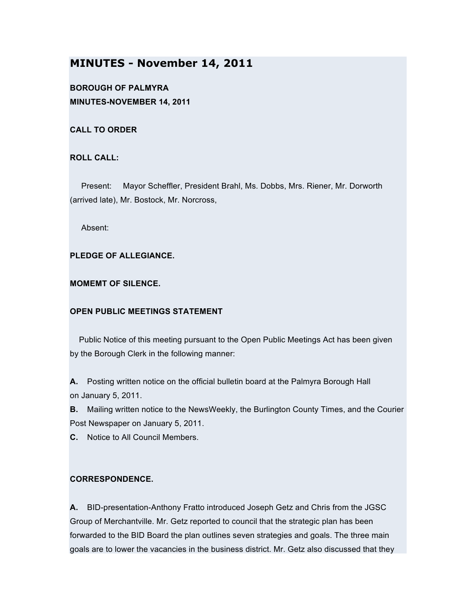# **MINUTES - November 14, 2011**

**BOROUGH OF PALMYRA MINUTES-NOVEMBER 14, 2011**

**CALL TO ORDER**

# **ROLL CALL:**

Present: Mayor Scheffler, President Brahl, Ms. Dobbs, Mrs. Riener, Mr. Dorworth (arrived late), Mr. Bostock, Mr. Norcross,

Absent:

# **PLEDGE OF ALLEGIANCE.**

**MOMEMT OF SILENCE.**

# **OPEN PUBLIC MEETINGS STATEMENT**

Public Notice of this meeting pursuant to the Open Public Meetings Act has been given by the Borough Clerk in the following manner:

**A.** Posting written notice on the official bulletin board at the Palmyra Borough Hall on January 5, 2011.

**B.** Mailing written notice to the NewsWeekly, the Burlington County Times, and the Courier Post Newspaper on January 5, 2011.

**C.** Notice to All Council Members.

## **CORRESPONDENCE.**

**A.** BID-presentation-Anthony Fratto introduced Joseph Getz and Chris from the JGSC Group of Merchantville. Mr. Getz reported to council that the strategic plan has been forwarded to the BID Board the plan outlines seven strategies and goals. The three main goals are to lower the vacancies in the business district. Mr. Getz also discussed that they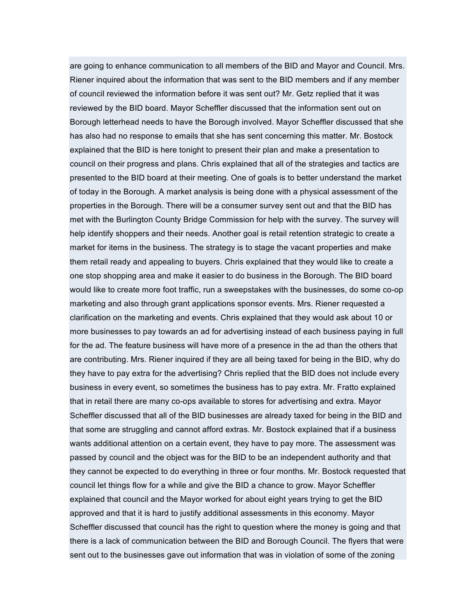are going to enhance communication to all members of the BID and Mayor and Council. Mrs. Riener inquired about the information that was sent to the BID members and if any member of council reviewed the information before it was sent out? Mr. Getz replied that it was reviewed by the BID board. Mayor Scheffler discussed that the information sent out on Borough letterhead needs to have the Borough involved. Mayor Scheffler discussed that she has also had no response to emails that she has sent concerning this matter. Mr. Bostock explained that the BID is here tonight to present their plan and make a presentation to council on their progress and plans. Chris explained that all of the strategies and tactics are presented to the BID board at their meeting. One of goals is to better understand the market of today in the Borough. A market analysis is being done with a physical assessment of the properties in the Borough. There will be a consumer survey sent out and that the BID has met with the Burlington County Bridge Commission for help with the survey. The survey will help identify shoppers and their needs. Another goal is retail retention strategic to create a market for items in the business. The strategy is to stage the vacant properties and make them retail ready and appealing to buyers. Chris explained that they would like to create a one stop shopping area and make it easier to do business in the Borough. The BID board would like to create more foot traffic, run a sweepstakes with the businesses, do some co-op marketing and also through grant applications sponsor events. Mrs. Riener requested a clarification on the marketing and events. Chris explained that they would ask about 10 or more businesses to pay towards an ad for advertising instead of each business paying in full for the ad. The feature business will have more of a presence in the ad than the others that are contributing. Mrs. Riener inquired if they are all being taxed for being in the BID, why do they have to pay extra for the advertising? Chris replied that the BID does not include every business in every event, so sometimes the business has to pay extra. Mr. Fratto explained that in retail there are many co-ops available to stores for advertising and extra. Mayor Scheffler discussed that all of the BID businesses are already taxed for being in the BID and that some are struggling and cannot afford extras. Mr. Bostock explained that if a business wants additional attention on a certain event, they have to pay more. The assessment was passed by council and the object was for the BID to be an independent authority and that they cannot be expected to do everything in three or four months. Mr. Bostock requested that council let things flow for a while and give the BID a chance to grow. Mayor Scheffler explained that council and the Mayor worked for about eight years trying to get the BID approved and that it is hard to justify additional assessments in this economy. Mayor Scheffler discussed that council has the right to question where the money is going and that there is a lack of communication between the BID and Borough Council. The flyers that were sent out to the businesses gave out information that was in violation of some of the zoning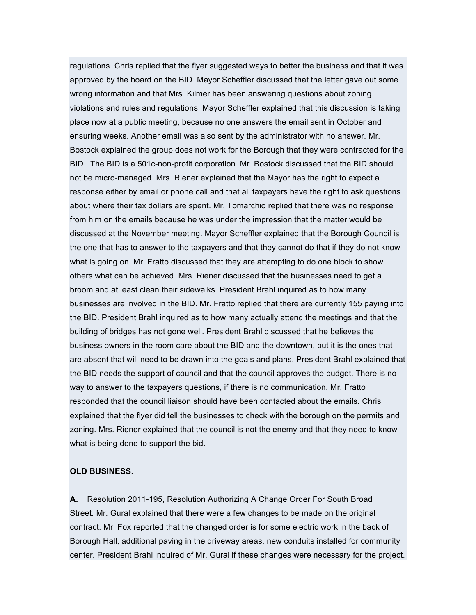regulations. Chris replied that the flyer suggested ways to better the business and that it was approved by the board on the BID. Mayor Scheffler discussed that the letter gave out some wrong information and that Mrs. Kilmer has been answering questions about zoning violations and rules and regulations. Mayor Scheffler explained that this discussion is taking place now at a public meeting, because no one answers the email sent in October and ensuring weeks. Another email was also sent by the administrator with no answer. Mr. Bostock explained the group does not work for the Borough that they were contracted for the BID. The BID is a 501c-non-profit corporation. Mr. Bostock discussed that the BID should not be micro-managed. Mrs. Riener explained that the Mayor has the right to expect a response either by email or phone call and that all taxpayers have the right to ask questions about where their tax dollars are spent. Mr. Tomarchio replied that there was no response from him on the emails because he was under the impression that the matter would be discussed at the November meeting. Mayor Scheffler explained that the Borough Council is the one that has to answer to the taxpayers and that they cannot do that if they do not know what is going on. Mr. Fratto discussed that they are attempting to do one block to show others what can be achieved. Mrs. Riener discussed that the businesses need to get a broom and at least clean their sidewalks. President Brahl inquired as to how many businesses are involved in the BID. Mr. Fratto replied that there are currently 155 paying into the BID. President Brahl inquired as to how many actually attend the meetings and that the building of bridges has not gone well. President Brahl discussed that he believes the business owners in the room care about the BID and the downtown, but it is the ones that are absent that will need to be drawn into the goals and plans. President Brahl explained that the BID needs the support of council and that the council approves the budget. There is no way to answer to the taxpayers questions, if there is no communication. Mr. Fratto responded that the council liaison should have been contacted about the emails. Chris explained that the flyer did tell the businesses to check with the borough on the permits and zoning. Mrs. Riener explained that the council is not the enemy and that they need to know what is being done to support the bid.

### **OLD BUSINESS.**

**A.** Resolution 2011-195, Resolution Authorizing A Change Order For South Broad Street. Mr. Gural explained that there were a few changes to be made on the original contract. Mr. Fox reported that the changed order is for some electric work in the back of Borough Hall, additional paving in the driveway areas, new conduits installed for community center. President Brahl inquired of Mr. Gural if these changes were necessary for the project.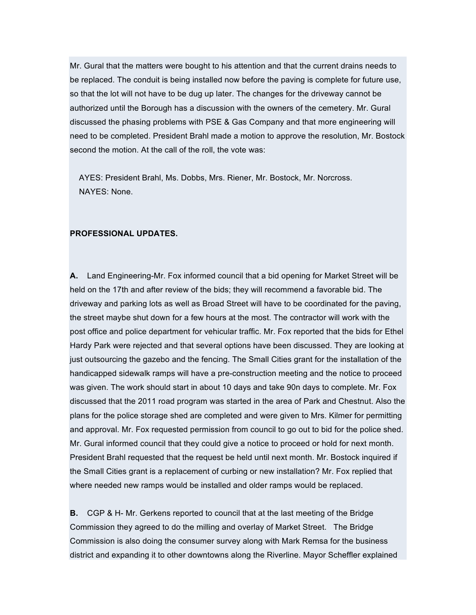Mr. Gural that the matters were bought to his attention and that the current drains needs to be replaced. The conduit is being installed now before the paving is complete for future use, so that the lot will not have to be dug up later. The changes for the driveway cannot be authorized until the Borough has a discussion with the owners of the cemetery. Mr. Gural discussed the phasing problems with PSE & Gas Company and that more engineering will need to be completed. President Brahl made a motion to approve the resolution, Mr. Bostock second the motion. At the call of the roll, the vote was:

AYES: President Brahl, Ms. Dobbs, Mrs. Riener, Mr. Bostock, Mr. Norcross. NAYES: None.

### **PROFESSIONAL UPDATES.**

**A.** Land Engineering-Mr. Fox informed council that a bid opening for Market Street will be held on the 17th and after review of the bids; they will recommend a favorable bid. The driveway and parking lots as well as Broad Street will have to be coordinated for the paving, the street maybe shut down for a few hours at the most. The contractor will work with the post office and police department for vehicular traffic. Mr. Fox reported that the bids for Ethel Hardy Park were rejected and that several options have been discussed. They are looking at just outsourcing the gazebo and the fencing. The Small Cities grant for the installation of the handicapped sidewalk ramps will have a pre-construction meeting and the notice to proceed was given. The work should start in about 10 days and take 90n days to complete. Mr. Fox discussed that the 2011 road program was started in the area of Park and Chestnut. Also the plans for the police storage shed are completed and were given to Mrs. Kilmer for permitting and approval. Mr. Fox requested permission from council to go out to bid for the police shed. Mr. Gural informed council that they could give a notice to proceed or hold for next month. President Brahl requested that the request be held until next month. Mr. Bostock inquired if the Small Cities grant is a replacement of curbing or new installation? Mr. Fox replied that where needed new ramps would be installed and older ramps would be replaced.

**B.** CGP & H- Mr. Gerkens reported to council that at the last meeting of the Bridge Commission they agreed to do the milling and overlay of Market Street. The Bridge Commission is also doing the consumer survey along with Mark Remsa for the business district and expanding it to other downtowns along the Riverline. Mayor Scheffler explained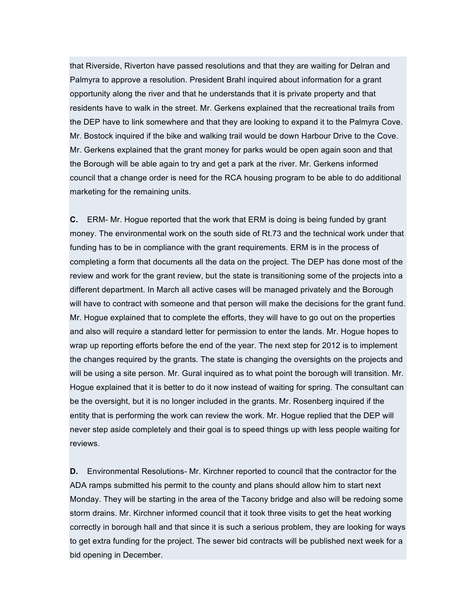that Riverside, Riverton have passed resolutions and that they are waiting for Delran and Palmyra to approve a resolution. President Brahl inquired about information for a grant opportunity along the river and that he understands that it is private property and that residents have to walk in the street. Mr. Gerkens explained that the recreational trails from the DEP have to link somewhere and that they are looking to expand it to the Palmyra Cove. Mr. Bostock inquired if the bike and walking trail would be down Harbour Drive to the Cove. Mr. Gerkens explained that the grant money for parks would be open again soon and that the Borough will be able again to try and get a park at the river. Mr. Gerkens informed council that a change order is need for the RCA housing program to be able to do additional marketing for the remaining units.

**C.** ERM- Mr. Hogue reported that the work that ERM is doing is being funded by grant money. The environmental work on the south side of Rt.73 and the technical work under that funding has to be in compliance with the grant requirements. ERM is in the process of completing a form that documents all the data on the project. The DEP has done most of the review and work for the grant review, but the state is transitioning some of the projects into a different department. In March all active cases will be managed privately and the Borough will have to contract with someone and that person will make the decisions for the grant fund. Mr. Hogue explained that to complete the efforts, they will have to go out on the properties and also will require a standard letter for permission to enter the lands. Mr. Hogue hopes to wrap up reporting efforts before the end of the year. The next step for 2012 is to implement the changes required by the grants. The state is changing the oversights on the projects and will be using a site person. Mr. Gural inquired as to what point the borough will transition. Mr. Hogue explained that it is better to do it now instead of waiting for spring. The consultant can be the oversight, but it is no longer included in the grants. Mr. Rosenberg inquired if the entity that is performing the work can review the work. Mr. Hogue replied that the DEP will never step aside completely and their goal is to speed things up with less people waiting for reviews.

**D.** Environmental Resolutions- Mr. Kirchner reported to council that the contractor for the ADA ramps submitted his permit to the county and plans should allow him to start next Monday. They will be starting in the area of the Tacony bridge and also will be redoing some storm drains. Mr. Kirchner informed council that it took three visits to get the heat working correctly in borough hall and that since it is such a serious problem, they are looking for ways to get extra funding for the project. The sewer bid contracts will be published next week for a bid opening in December.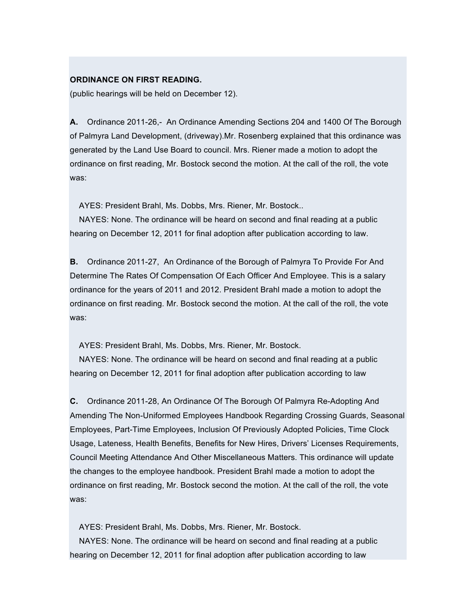#### **ORDINANCE ON FIRST READING.**

(public hearings will be held on December 12).

**A.** Ordinance 2011-26,- An Ordinance Amending Sections 204 and 1400 Of The Borough of Palmyra Land Development, (driveway).Mr. Rosenberg explained that this ordinance was generated by the Land Use Board to council. Mrs. Riener made a motion to adopt the ordinance on first reading, Mr. Bostock second the motion. At the call of the roll, the vote was:

AYES: President Brahl, Ms. Dobbs, Mrs. Riener, Mr. Bostock..

NAYES: None. The ordinance will be heard on second and final reading at a public hearing on December 12, 2011 for final adoption after publication according to law.

**B.** Ordinance 2011-27, An Ordinance of the Borough of Palmyra To Provide For And Determine The Rates Of Compensation Of Each Officer And Employee. This is a salary ordinance for the years of 2011 and 2012. President Brahl made a motion to adopt the ordinance on first reading. Mr. Bostock second the motion. At the call of the roll, the vote was:

AYES: President Brahl, Ms. Dobbs, Mrs. Riener, Mr. Bostock.

NAYES: None. The ordinance will be heard on second and final reading at a public hearing on December 12, 2011 for final adoption after publication according to law

**C.** Ordinance 2011-28, An Ordinance Of The Borough Of Palmyra Re-Adopting And Amending The Non-Uniformed Employees Handbook Regarding Crossing Guards, Seasonal Employees, Part-Time Employees, Inclusion Of Previously Adopted Policies, Time Clock Usage, Lateness, Health Benefits, Benefits for New Hires, Drivers' Licenses Requirements, Council Meeting Attendance And Other Miscellaneous Matters. This ordinance will update the changes to the employee handbook. President Brahl made a motion to adopt the ordinance on first reading, Mr. Bostock second the motion. At the call of the roll, the vote was:

AYES: President Brahl, Ms. Dobbs, Mrs. Riener, Mr. Bostock.

NAYES: None. The ordinance will be heard on second and final reading at a public hearing on December 12, 2011 for final adoption after publication according to law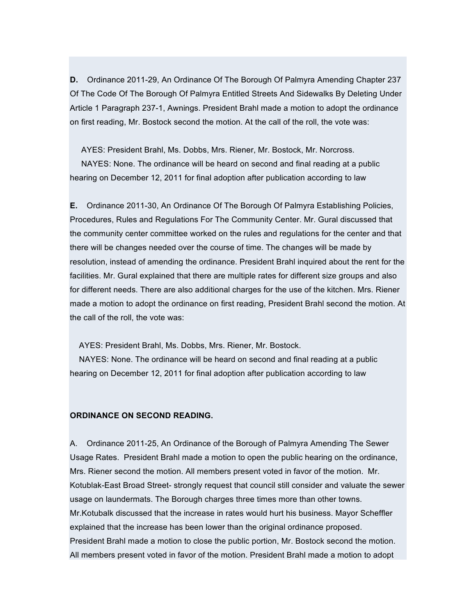**D.** Ordinance 2011-29, An Ordinance Of The Borough Of Palmyra Amending Chapter 237 Of The Code Of The Borough Of Palmyra Entitled Streets And Sidewalks By Deleting Under Article 1 Paragraph 237-1, Awnings. President Brahl made a motion to adopt the ordinance on first reading, Mr. Bostock second the motion. At the call of the roll, the vote was:

AYES: President Brahl, Ms. Dobbs, Mrs. Riener, Mr. Bostock, Mr. Norcross.

NAYES: None. The ordinance will be heard on second and final reading at a public hearing on December 12, 2011 for final adoption after publication according to law

**E.** Ordinance 2011-30, An Ordinance Of The Borough Of Palmyra Establishing Policies, Procedures, Rules and Regulations For The Community Center. Mr. Gural discussed that the community center committee worked on the rules and regulations for the center and that there will be changes needed over the course of time. The changes will be made by resolution, instead of amending the ordinance. President Brahl inquired about the rent for the facilities. Mr. Gural explained that there are multiple rates for different size groups and also for different needs. There are also additional charges for the use of the kitchen. Mrs. Riener made a motion to adopt the ordinance on first reading, President Brahl second the motion. At the call of the roll, the vote was:

AYES: President Brahl, Ms. Dobbs, Mrs. Riener, Mr. Bostock.

NAYES: None. The ordinance will be heard on second and final reading at a public hearing on December 12, 2011 for final adoption after publication according to law

### **ORDINANCE ON SECOND READING.**

A. Ordinance 2011-25, An Ordinance of the Borough of Palmyra Amending The Sewer Usage Rates. President Brahl made a motion to open the public hearing on the ordinance, Mrs. Riener second the motion. All members present voted in favor of the motion. Mr. Kotublak-East Broad Street- strongly request that council still consider and valuate the sewer usage on laundermats. The Borough charges three times more than other towns. Mr.Kotubalk discussed that the increase in rates would hurt his business. Mayor Scheffler explained that the increase has been lower than the original ordinance proposed. President Brahl made a motion to close the public portion, Mr. Bostock second the motion. All members present voted in favor of the motion. President Brahl made a motion to adopt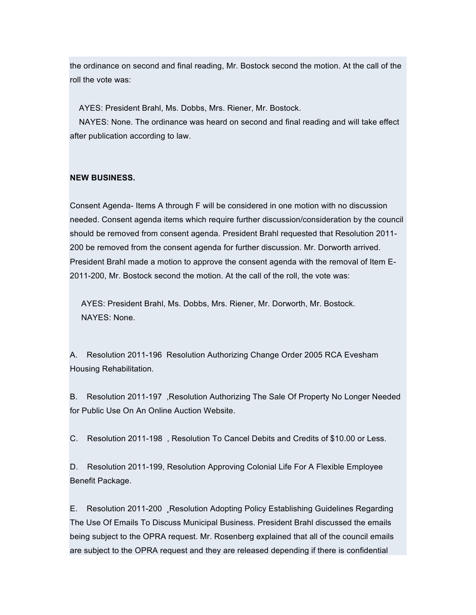the ordinance on second and final reading, Mr. Bostock second the motion. At the call of the roll the vote was:

AYES: President Brahl, Ms. Dobbs, Mrs. Riener, Mr. Bostock.

NAYES: None. The ordinance was heard on second and final reading and will take effect after publication according to law.

### **NEW BUSINESS.**

Consent Agenda- Items A through F will be considered in one motion with no discussion needed. Consent agenda items which require further discussion/consideration by the council should be removed from consent agenda. President Brahl requested that Resolution 2011- 200 be removed from the consent agenda for further discussion. Mr. Dorworth arrived. President Brahl made a motion to approve the consent agenda with the removal of Item E-2011-200, Mr. Bostock second the motion. At the call of the roll, the vote was:

AYES: President Brahl, Ms. Dobbs, Mrs. Riener, Mr. Dorworth, Mr. Bostock. NAYES: None.

A. Resolution 2011-196 Resolution Authorizing Change Order 2005 RCA Evesham Housing Rehabilitation.

B. Resolution 2011-197 ,Resolution Authorizing The Sale Of Property No Longer Needed for Public Use On An Online Auction Website.

C. Resolution 2011-198 , Resolution To Cancel Debits and Credits of \$10.00 or Less.

D. Resolution 2011-199, Resolution Approving Colonial Life For A Flexible Employee Benefit Package.

E. Resolution 2011-200 ¸Resolution Adopting Policy Establishing Guidelines Regarding The Use Of Emails To Discuss Municipal Business. President Brahl discussed the emails being subject to the OPRA request. Mr. Rosenberg explained that all of the council emails are subject to the OPRA request and they are released depending if there is confidential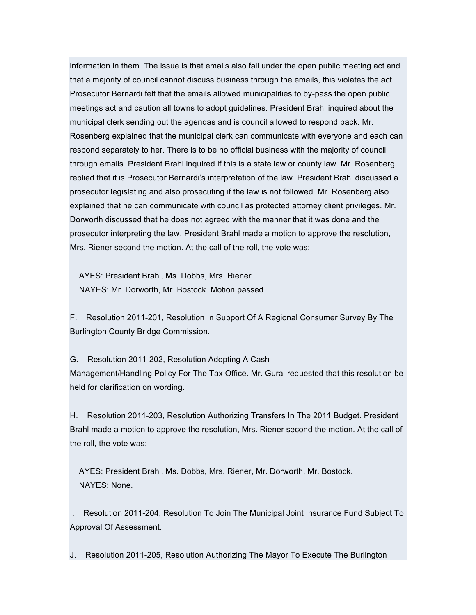information in them. The issue is that emails also fall under the open public meeting act and that a majority of council cannot discuss business through the emails, this violates the act. Prosecutor Bernardi felt that the emails allowed municipalities to by-pass the open public meetings act and caution all towns to adopt guidelines. President Brahl inquired about the municipal clerk sending out the agendas and is council allowed to respond back. Mr. Rosenberg explained that the municipal clerk can communicate with everyone and each can respond separately to her. There is to be no official business with the majority of council through emails. President Brahl inquired if this is a state law or county law. Mr. Rosenberg replied that it is Prosecutor Bernardi's interpretation of the law. President Brahl discussed a prosecutor legislating and also prosecuting if the law is not followed. Mr. Rosenberg also explained that he can communicate with council as protected attorney client privileges. Mr. Dorworth discussed that he does not agreed with the manner that it was done and the prosecutor interpreting the law. President Brahl made a motion to approve the resolution, Mrs. Riener second the motion. At the call of the roll, the vote was:

AYES: President Brahl, Ms. Dobbs, Mrs. Riener. NAYES: Mr. Dorworth, Mr. Bostock. Motion passed.

F. Resolution 2011-201, Resolution In Support Of A Regional Consumer Survey By The Burlington County Bridge Commission.

G. Resolution 2011-202, Resolution Adopting A Cash Management/Handling Policy For The Tax Office. Mr. Gural requested that this resolution be held for clarification on wording.

H. Resolution 2011-203, Resolution Authorizing Transfers In The 2011 Budget. President Brahl made a motion to approve the resolution, Mrs. Riener second the motion. At the call of the roll, the vote was:

AYES: President Brahl, Ms. Dobbs, Mrs. Riener, Mr. Dorworth, Mr. Bostock. NAYES: None.

I. Resolution 2011-204, Resolution To Join The Municipal Joint Insurance Fund Subject To Approval Of Assessment.

J. Resolution 2011-205, Resolution Authorizing The Mayor To Execute The Burlington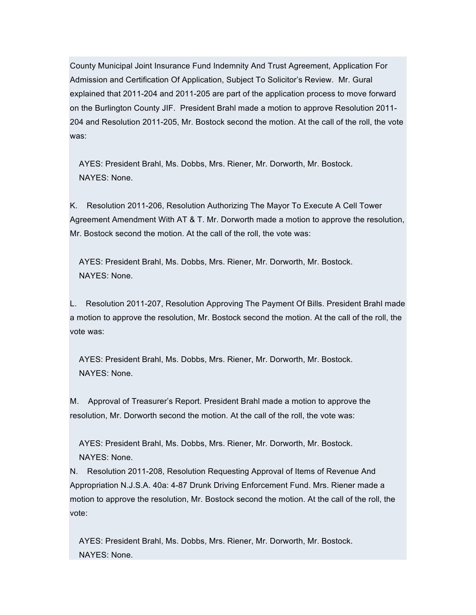County Municipal Joint Insurance Fund Indemnity And Trust Agreement, Application For Admission and Certification Of Application, Subject To Solicitor's Review. Mr. Gural explained that 2011-204 and 2011-205 are part of the application process to move forward on the Burlington County JIF. President Brahl made a motion to approve Resolution 2011- 204 and Resolution 2011-205, Mr. Bostock second the motion. At the call of the roll, the vote was:

AYES: President Brahl, Ms. Dobbs, Mrs. Riener, Mr. Dorworth, Mr. Bostock. NAYES: None.

K. Resolution 2011-206, Resolution Authorizing The Mayor To Execute A Cell Tower Agreement Amendment With AT & T. Mr. Dorworth made a motion to approve the resolution, Mr. Bostock second the motion. At the call of the roll, the vote was:

AYES: President Brahl, Ms. Dobbs, Mrs. Riener, Mr. Dorworth, Mr. Bostock. NAYES: None.

L. Resolution 2011-207, Resolution Approving The Payment Of Bills. President Brahl made a motion to approve the resolution, Mr. Bostock second the motion. At the call of the roll, the vote was:

AYES: President Brahl, Ms. Dobbs, Mrs. Riener, Mr. Dorworth, Mr. Bostock. NAYES: None.

M. Approval of Treasurer's Report. President Brahl made a motion to approve the resolution, Mr. Dorworth second the motion. At the call of the roll, the vote was:

AYES: President Brahl, Ms. Dobbs, Mrs. Riener, Mr. Dorworth, Mr. Bostock. NAYES: None.

N. Resolution 2011-208, Resolution Requesting Approval of Items of Revenue And Appropriation N.J.S.A. 40a: 4-87 Drunk Driving Enforcement Fund. Mrs. Riener made a motion to approve the resolution, Mr. Bostock second the motion. At the call of the roll, the vote:

AYES: President Brahl, Ms. Dobbs, Mrs. Riener, Mr. Dorworth, Mr. Bostock. NAYES: None.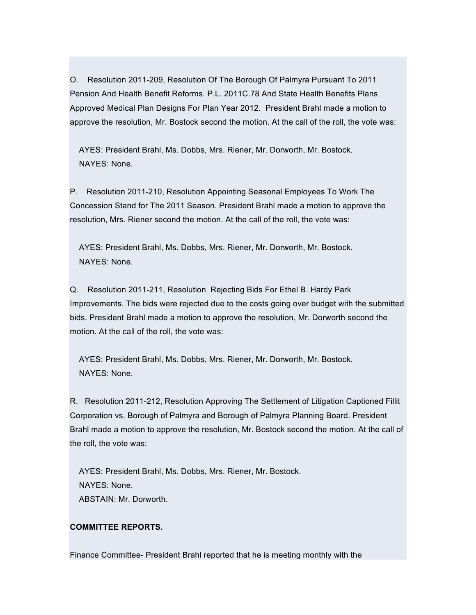O. Resolution 2011-209, Resolution Of The Borough Of Palmyra Pursuant To 2011 Pension And Health Benefit Reforms. P.L. 2011C.78 And State Health Benefits Plans Approved Medical Plan Designs For Plan Year 2012. President Brahl made a motion to approve the resolution, Mr. Bostock second the motion. At the call of the roll, the vote was:

AYES: President Brahl, Ms. Dobbs, Mrs. Riener, Mr. Dorworth, Mr. Bostock. NAYES: None.

P. Resolution 2011-210, Resolution Appointing Seasonal Employees To Work The Concession Stand for The 2011 Season. President Brahl made a motion to approve the resolution, Mrs. Riener second the motion. At the call of the roll, the vote was:

AYES: President Brahl, Ms. Dobbs, Mrs. Riener, Mr. Dorworth, Mr. Bostock. NAYES: None.

Q. Resolution 2011-211, Resolution Rejecting Bids For Ethel B. Hardy Park Improvements. The bids were rejected due to the costs going over budget with the submitted bids. President Brahl made a motion to approve the resolution, Mr. Dorworth second the motion. At the call of the roll, the vote was:

AYES: President Brahl, Ms. Dobbs, Mrs. Riener, Mr. Dorworth, Mr. Bostock. NAYES: None.

R. Resolution 2011-212, Resolution Approving The Settlement of Litigation Captioned Fillit Corporation vs. Borough of Palmyra and Borough of Palmyra Planning Board. President Brahl made a motion to approve the resolution, Mr. Bostock second the motion. At the call of the roll, the vote was:

AYES: President Brahl, Ms. Dobbs, Mrs. Riener, Mr. Bostock. NAYES: None. ABSTAIN: Mr. Dorworth.

## **COMMITTEE REPORTS.**

Finance Committee- President Brahl reported that he is meeting monthly with the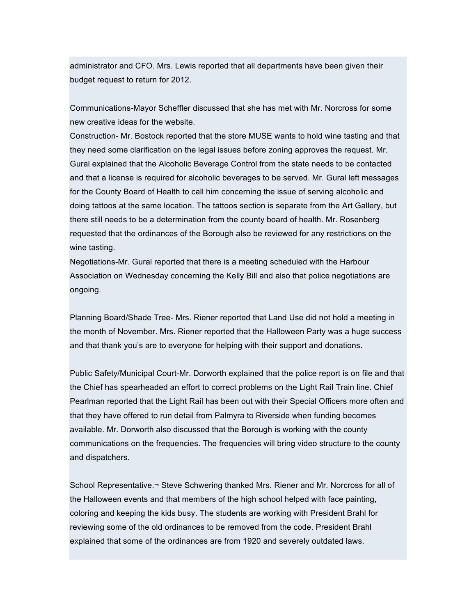administrator and CFO. Mrs. Lewis reported that all departments have been given their budget request to return for 2012.

Communications-Mayor Scheffler discussed that she has met with Mr. Norcross for some new creative ideas for the website.

Construction- Mr. Bostock reported that the store MUSE wants to hold wine tasting and that they need some clarification on the legal issues before zoning approves the request. Mr. Gural explained that the Alcoholic Beverage Control from the state needs to be contacted and that a license is required for alcoholic beverages to be served. Mr. Gural left messages for the County Board of Health to call him concerning the issue of serving alcoholic and doing tattoos at the same location. The tattoos section is separate from the Art Gallery, but there still needs to be a determination from the county board of health. Mr. Rosenberg requested that the ordinances of the Borough also be reviewed for any restrictions on the wine tasting.

Negotiations-Mr. Gural reported that there is a meeting scheduled with the Harbour Association on Wednesday concerning the Kelly Bill and also that police negotiations are ongoing.

Planning Board/Shade Tree- Mrs. Riener reported that Land Use did not hold a meeting in the month of November. Mrs. Riener reported that the Halloween Party was a huge success and that thank you's are to everyone for helping with their support and donations.

Public Safety/Municipal Court-Mr. Dorworth explained that the police report is on file and that the Chief has spearheaded an effort to correct problems on the Light Rail Train line. Chief Pearlman reported that the Light Rail has been out with their Special Officers more often and that they have offered to run detail from Palmyra to Riverside when funding becomes available. Mr. Dorworth also discussed that the Borough is working with the county communications on the frequencies. The frequencies will bring video structure to the county and dispatchers.

School Representative.¬ Steve Schwering thanked Mrs. Riener and Mr. Norcross for all of the Halloween events and that members of the high school helped with face painting, coloring and keeping the kids busy. The students are working with President Brahl for reviewing some of the old ordinances to be removed from the code. President Brahl explained that some of the ordinances are from 1920 and severely outdated laws.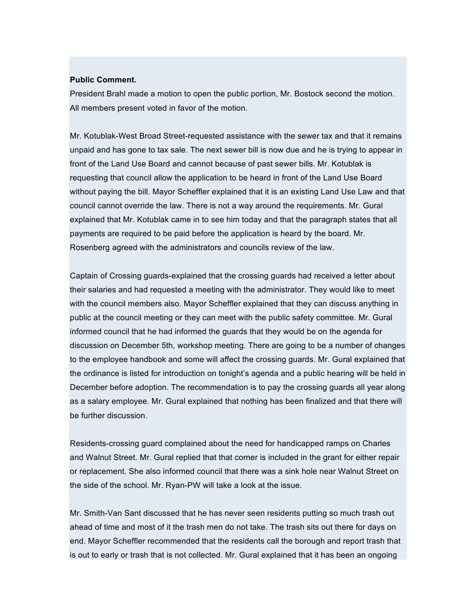### **Public Comment.**

President Brahl made a motion to open the public portion, Mr. Bostock second the motion. All members present voted in favor of the motion.

Mr. Kotublak-West Broad Street-requested assistance with the sewer tax and that it remains unpaid and has gone to tax sale. The next sewer bill is now due and he is trying to appear in front of the Land Use Board and cannot because of past sewer bills. Mr. Kotublak is requesting that council allow the application to be heard in front of the Land Use Board without paying the bill. Mayor Scheffler explained that it is an existing Land Use Law and that council cannot override the law. There is not a way around the requirements. Mr. Gural explained that Mr. Kotublak came in to see him today and that the paragraph states that all payments are required to be paid before the application is heard by the board. Mr. Rosenberg agreed with the administrators and councils review of the law.

Captain of Crossing guards-explained that the crossing guards had received a letter about their salaries and had requested a meeting with the administrator. They would like to meet with the council members also. Mayor Scheffler explained that they can discuss anything in public at the council meeting or they can meet with the public safety committee. Mr. Gural informed council that he had informed the guards that they would be on the agenda for discussion on December 5th, workshop meeting. There are going to be a number of changes to the employee handbook and some will affect the crossing guards. Mr. Gural explained that the ordinance is listed for introduction on tonight's agenda and a public hearing will be held in December before adoption. The recommendation is to pay the crossing guards all year along as a salary employee. Mr. Gural explained that nothing has been finalized and that there will be further discussion.

Residents-crossing guard complained about the need for handicapped ramps on Charles and Walnut Street. Mr. Gural replied that that corner is included in the grant for either repair or replacement. She also informed council that there was a sink hole near Walnut Street on the side of the school. Mr. Ryan-PW will take a look at the issue.

Mr. Smith-Van Sant discussed that he has never seen residents putting so much trash out ahead of time and most of it the trash men do not take. The trash sits out there for days on end. Mayor Scheffler recommended that the residents call the borough and report trash that is out to early or trash that is not collected. Mr. Gural explained that it has been an ongoing